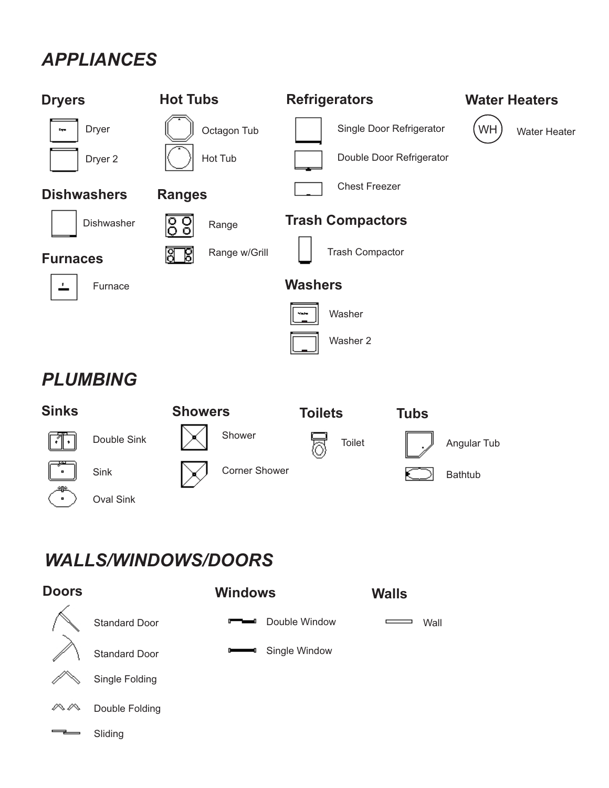# *APPLIANCES*



Sliding ᆋ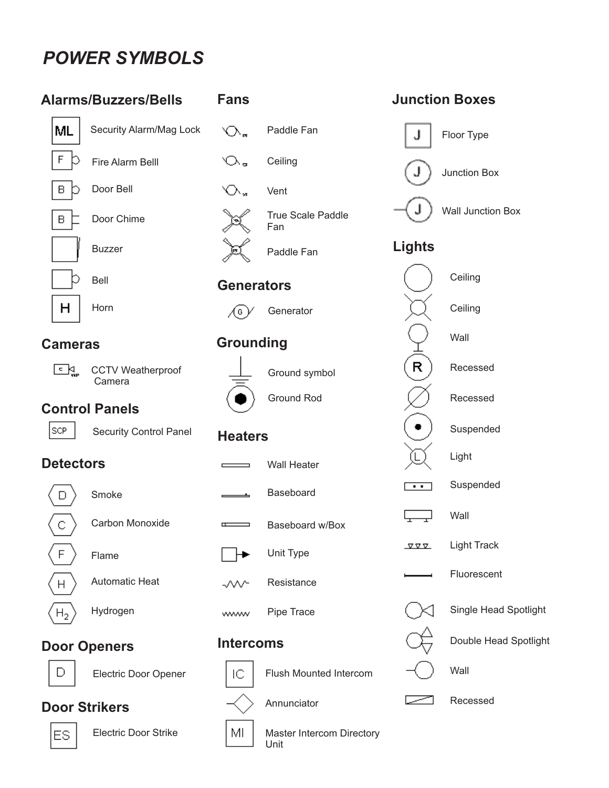# *POWER SYMBOLS*



#### **Door Strikers**



Electric Door Strike

МL

Unit

Master Intercom Directory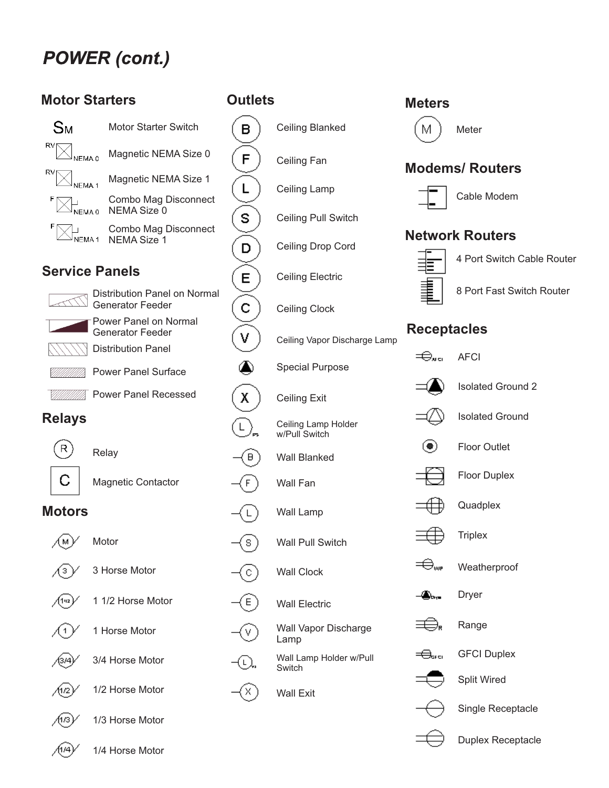# *POWER (cont.)*

#### **Motor Starters**

VEMA 0

NEMA 1

**Sм** 

 $RV$ 

**RV** 

#### **Outlets**

в

F

L

S

D

 $\mathsf E$ 

 $\mathbf C$ 

٧

</u>

X

B.

Ceiling Blanked

Ceiling Fan

Ceiling Lamp

Ceiling Pull Switch

Ceiling Drop Cord

Ceiling Electric

Ceiling Clock

Ceiling Vapor Discharge Lamp

Special Purpose

Ceiling Exit

Ceiling Lamp Holder w/Pull Switch

Wall Blanked

Wall Fan

Wall Lamp

- Wall Pull Switch s.
- Wall Clock
- € Wall Electric
- $\circledcirc$ Wall Vapor Discharge Lamp
	- Wall Lamp Holder w/Pull Switch
- (X) Wall Exit

⊙,

#### **Meters**



#### **Modems/ Routers**



#### **Network Routers**



#### **Receptacles**

| ⊸…                             | <b>AFCI</b>              |
|--------------------------------|--------------------------|
| $\boldsymbol = \blacktriangle$ | <b>Isolated Ground 2</b> |
| $\Rightarrow\Rightarrow$       | <b>Isolated Ground</b>   |
| ◉                              | <b>Floor Outlet</b>      |
| €                              | <b>Floor Duplex</b>      |
| $\Rightarrow$                  | Quadplex                 |
| 丰田                             | <b>Triplex</b>           |
| ≔⊖…                            | Weatherproof             |
|                                |                          |
| $\clubsuit$ .                  | <b>Dryer</b>             |
| €,                             | Range                    |
| ⊸⊕…                            | <b>GFCI Duplex</b>       |
| ⇒                              | <b>Split Wired</b>       |
| ←                              | Single Receptacle        |

# Ċ.

**Relays**

 $R)$ 

 $777$ 

Magnetic Contactor

#### **Motors**



**Service Panels** Power Panel Surface Power Panel Recessed Power Panel on Normal Generator Feeder Relay Distribution Panel Distribution Panel on Normal Generator Feeder

Motor Starter Switch

Magnetic NEMA Size 0

Magnetic NEMA Size 1

Combo Mag Disconnect

Combo Mag Disconnect

NEMA 0 NEMA Size 0

NEMA<sub>1</sub> NEMA Size 1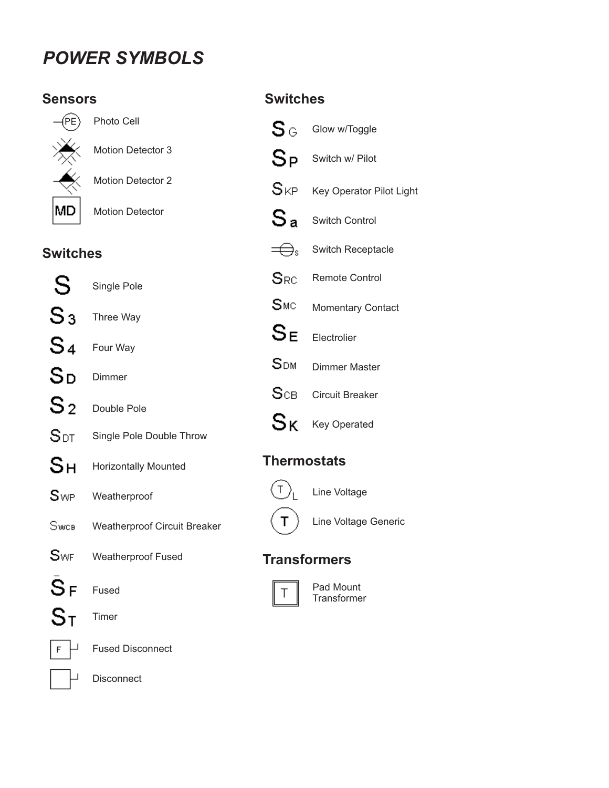# *POWER SYMBOLS*

#### **Sensors**



- Photo Cell
- Motion Detector 3

Motion Detector 2

Motion Detector

# **Switches**

S Single Pole  $S<sub>3</sub>$ Three Way  $S<sub>4</sub>$ Four Way  $S<sub>D</sub>$ Dimmer  $S<sub>2</sub>$ Double Pole  $S_{DT}$ Single Pole Double Throw  $S<sub>H</sub>$ Horizontally Mounted **S**wp Weatherproof **Swcb** Weatherproof Circuit Breaker **S**<sub>WF</sub> Weatherproof Fused  $S_F$ Fused  $S_T$ Timer Fused Disconnect F Disconnect

**Switches** 



## **Thermostats**

Τ т

Line Voltage

Line Voltage Generic

# **Transformers**



Pad Mount **Transformer**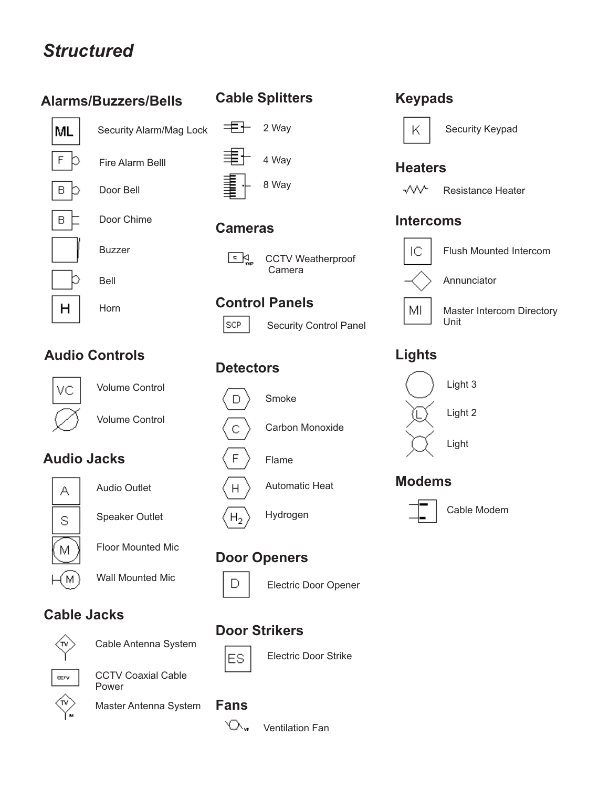# *Structured*

#### **Alarms/Buzzers/Bells**



Security Alarm/Mag Lock

Door Bell Fire Alarm Belll

Door Chime

Buzzer

Bell

Horn

# **Audio Controls**



Volume Control

Volume Control

# **Audio Jacks**



Speaker Outlet

Audio Outlet

Floor Mounted Mic

Wall Mounted Mic

# **Cable Jacks**



Cable Antenna System

CCTV Coaxial Cable Power



Master Antenna System

#### **Fans**



Ventilation Fan

#### **Keypads**



Security Keypad

#### **Heaters**

-AAA-

Resistance Heater

#### **Intercoms**



Flush Mounted Intercom

Annunciator

Master Intercom Directory Unit

# **Lights**



## **Modems**



Cable Modem

**Control Panels SCP** Security Control Panel

Camera

8 Way

4 Way

# **Detectors**

**Cameras**

⊡⊀ॗ

**Cable Splitters**

 $\equiv$  2 Way



 $H<sub>2</sub>$ 

# Hydrogen

Flame

# **Door Openers**



Electric Door Opener

## **Door Strikers**



Electric Door Strike

Smoke

CCTV Weatherproof

Carbon Monoxide

Automatic Heat